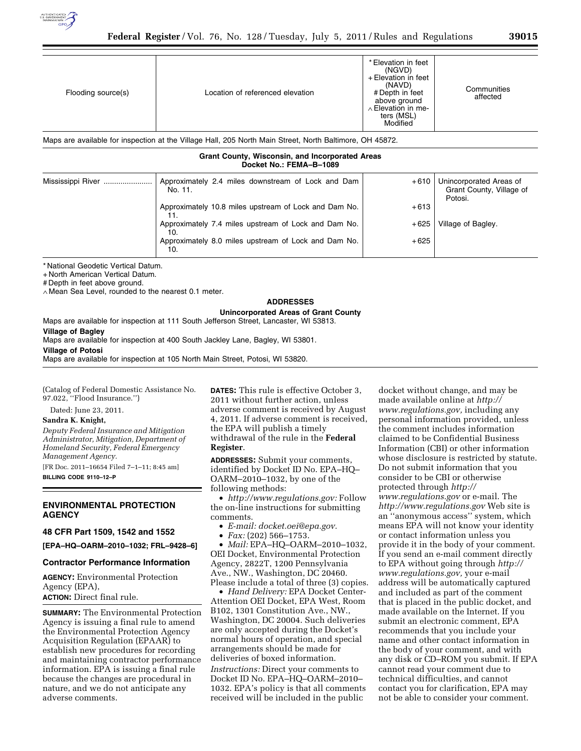

| Flooding source(s)                                                                                       | Location of referenced elevation | * Elevation in feet<br>(NGVD)<br>+ Elevation in feet<br>(NAVD)<br># Depth in feet<br>above ground<br>$\land$ Elevation in me-<br>ters (MSL)<br>Modified | Communities<br>affected |  |  |
|----------------------------------------------------------------------------------------------------------|----------------------------------|---------------------------------------------------------------------------------------------------------------------------------------------------------|-------------------------|--|--|
| Maps are available for inspection at the Village Hall, 205 North Main Street, North Baltimore, OH 45872. |                                  |                                                                                                                                                         |                         |  |  |
| Cuant Caunty, Wissonsin, and Incorporated Avenue                                                         |                                  |                                                                                                                                                         |                         |  |  |

#### **Grant County, Wisconsin, and Incorporated Areas Docket No.: FEMA–B–1089**

| Mississippi River | Approximately 2.4 miles downstream of Lock and Dam<br>No. 11. | $+610$ | Unincorporated Areas of<br>Grant County, Village of<br>Potosi. |
|-------------------|---------------------------------------------------------------|--------|----------------------------------------------------------------|
|                   | Approximately 10.8 miles upstream of Lock and Dam No.         | $+613$ |                                                                |
|                   | Approximately 7.4 miles upstream of Lock and Dam No.<br>10.   | $+625$ | Village of Bagley.                                             |
|                   | Approximately 8.0 miles upstream of Lock and Dam No.<br>10.   | $+625$ |                                                                |

\* National Geodetic Vertical Datum.

+ North American Vertical Datum.

# Depth in feet above ground.

∧ Mean Sea Level, rounded to the nearest 0.1 meter.

### **ADDRESSES**

**Unincorporated Areas of Grant County**  Maps are available for inspection at 111 South Jefferson Street, Lancaster, WI 53813.

**Village of Bagley** 

Maps are available for inspection at 400 South Jackley Lane, Bagley, WI 53801.

#### **Village of Potosi**

Maps are available for inspection at 105 North Main Street, Potosi, WI 53820.

(Catalog of Federal Domestic Assistance No. 97.022, ''Flood Insurance.'')

Dated: June 23, 2011.

## **Sandra K. Knight,**

*Deputy Federal Insurance and Mitigation Administrator, Mitigation, Department of Homeland Security, Federal Emergency Management Agency.* 

[FR Doc. 2011–16654 Filed 7–1–11; 8:45 am] **BILLING CODE 9110–12–P** 

# **ENVIRONMENTAL PROTECTION AGENCY**

# **48 CFR Part 1509, 1542 and 1552**

**[EPA–HQ–OARM–2010–1032; FRL–9428–6]** 

## **Contractor Performance Information**

**AGENCY:** Environmental Protection Agency (EPA), **ACTION:** Direct final rule.

**SUMMARY:** The Environmental Protection Agency is issuing a final rule to amend the Environmental Protection Agency Acquisition Regulation (EPAAR) to establish new procedures for recording and maintaining contractor performance information. EPA is issuing a final rule because the changes are procedural in nature, and we do not anticipate any adverse comments.

**DATES:** This rule is effective October 3, 2011 without further action, unless adverse comment is received by August 4, 2011. If adverse comment is received, the EPA will publish a timely withdrawal of the rule in the **Federal Register**.

**ADDRESSES:** Submit your comments, identified by Docket ID No. EPA–HQ– OARM–2010–1032, by one of the following methods:

• *[http://www.regulations.gov:](http://www.regulations.gov)* Follow the on-line instructions for submitting comments.

- *E-mail: [docket.oei@epa.gov.](mailto:docket.oei@epa.gov)*
- *Fax:* (202) 566–1753.

• *Mail:* EPA–HQ–OARM–2010–1032, OEI Docket, Environmental Protection Agency, 2822T, 1200 Pennsylvania Ave., NW., Washington, DC 20460. Please include a total of three (3) copies.

• *Hand Delivery:* EPA Docket Center-Attention OEI Docket, EPA West, Room B102, 1301 Constitution Ave., NW., Washington, DC 20004. Such deliveries are only accepted during the Docket's normal hours of operation, and special arrangements should be made for deliveries of boxed information. *Instructions:* Direct your comments to Docket ID No. EPA–HQ–OARM–2010– 1032. EPA's policy is that all comments received will be included in the public

docket without change, and may be made available online at *[http://](http://www.regulations.gov)  [www.regulations.gov,](http://www.regulations.gov)* including any personal information provided, unless the comment includes information claimed to be Confidential Business Information (CBI) or other information whose disclosure is restricted by statute. Do not submit information that you consider to be CBI or otherwise protected through *[http://](http://www.regulations.gov)  [www.regulations.gov](http://www.regulations.gov)* or e-mail. The *<http://www.regulations.gov>* Web site is an ''anonymous access'' system, which means EPA will not know your identity or contact information unless you provide it in the body of your comment. If you send an e-mail comment directly to EPA without going through *[http://](http://www.regulations.gov) [www.regulations.gov,](http://www.regulations.gov)* your e-mail address will be automatically captured and included as part of the comment that is placed in the public docket, and made available on the Internet. If you submit an electronic comment, EPA recommends that you include your name and other contact information in the body of your comment, and with any disk or CD–ROM you submit. If EPA cannot read your comment due to technical difficulties, and cannot contact you for clarification, EPA may not be able to consider your comment.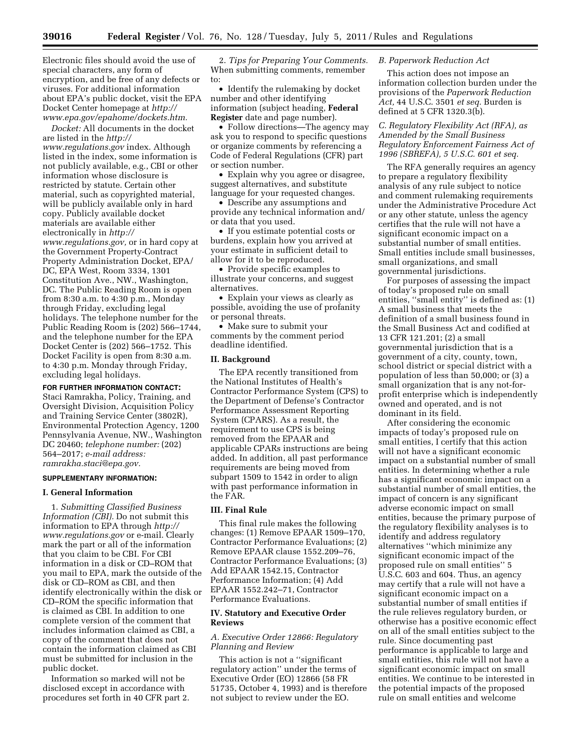Electronic files should avoid the use of special characters, any form of encryption, and be free of any defects or viruses. For additional information about EPA's public docket, visit the EPA Docket Center homepage at *[http://](http://www.epa.gov/epahome/dockets.htm) [www.epa.gov/epahome/dockets.htm.](http://www.epa.gov/epahome/dockets.htm)* 

*Docket:* All documents in the docket are listed in the *[http://](http://www.regulations.gov) [www.regulations.gov](http://www.regulations.gov)* index. Although listed in the index, some information is not publicly available, e.g., CBI or other information whose disclosure is restricted by statute. Certain other material, such as copyrighted material, will be publicly available only in hard copy. Publicly available docket materials are available either electronically in *[http://](http://www.regulations.gov) [www.regulations.gov,](http://www.regulations.gov)* or in hard copy at the Government Property-Contract Property Administration Docket, EPA/ DC, EPA West, Room 3334, 1301 Constitution Ave., NW., Washington, DC. The Public Reading Room is open from 8:30 a.m. to 4:30 p.m., Monday through Friday, excluding legal holidays. The telephone number for the Public Reading Room is (202) 566–1744, and the telephone number for the EPA Docket Center is (202) 566–1752. This Docket Facility is open from 8:30 a.m. to 4:30 p.m. Monday through Friday, excluding legal holidays.

# **FOR FURTHER INFORMATION CONTACT:**

Staci Ramrakha, Policy, Training, and Oversight Division, Acquisition Policy and Training Service Center (3802R), Environmental Protection Agency, 1200 Pennsylvania Avenue, NW., Washington DC 20460; *telephone number:* (202) 564–2017; *e-mail address: [ramrakha.staci@epa.gov.](mailto:ramrakha.staci@epa.gov)* 

### **SUPPLEMENTARY INFORMATION:**

#### **I. General Information**

1. *Submitting Classified Business Information (CBI).* Do not submit this information to EPA through *[http://](http://www.regulations.gov)  [www.regulations.gov](http://www.regulations.gov)* or e-mail. Clearly mark the part or all of the information that you claim to be CBI. For CBI information in a disk or CD–ROM that you mail to EPA, mark the outside of the disk or CD–ROM as CBI, and then identify electronically within the disk or CD–ROM the specific information that is claimed as CBI. In addition to one complete version of the comment that includes information claimed as CBI, a copy of the comment that does not contain the information claimed as CBI must be submitted for inclusion in the public docket.

Information so marked will not be disclosed except in accordance with procedures set forth in 40 CFR part 2.

2. *Tips for Preparing Your Comments.*  When submitting comments, remember to:

• Identify the rulemaking by docket number and other identifying information (subject heading, **Federal Register** date and page number).

• Follow directions—The agency may ask you to respond to specific questions or organize comments by referencing a Code of Federal Regulations (CFR) part or section number.

• Explain why you agree or disagree, suggest alternatives, and substitute language for your requested changes.

• Describe any assumptions and provide any technical information and/ or data that you used.

• If you estimate potential costs or burdens, explain how you arrived at your estimate in sufficient detail to allow for it to be reproduced.

• Provide specific examples to illustrate your concerns, and suggest alternatives.

• Explain your views as clearly as possible, avoiding the use of profanity or personal threats.

• Make sure to submit your comments by the comment period deadline identified.

### **II. Background**

The EPA recently transitioned from the National Institutes of Health's Contractor Performance System (CPS) to the Department of Defense's Contractor Performance Assessment Reporting System (CPARS). As a result, the requirement to use CPS is being removed from the EPAAR and applicable CPARs instructions are being added. In addition, all past performance requirements are being moved from subpart 1509 to 1542 in order to align with past performance information in the FAR.

### **III. Final Rule**

This final rule makes the following changes: (1) Remove EPAAR 1509–170, Contractor Performance Evaluations; (2) Remove EPAAR clause 1552.209–76, Contractor Performance Evaluations; (3) Add EPAAR 1542.15, Contractor Performance Information; (4) Add EPAAR 1552.242–71, Contractor Performance Evaluations.

# **IV. Statutory and Executive Order Reviews**

## *A. Executive Order 12866: Regulatory Planning and Review*

This action is not a ''significant regulatory action'' under the terms of Executive Order (EO) 12866 (58 FR 51735, October 4, 1993) and is therefore not subject to review under the EO.

# *B. Paperwork Reduction Act*

This action does not impose an information collection burden under the provisions of the *Paperwork Reduction Act,* 44 U.S.C. 3501 *et seq.* Burden is defined at 5 CFR 1320.3(b).

*C. Regulatory Flexibility Act (RFA), as Amended by the Small Business Regulatory Enforcement Fairness Act of 1996 (SBREFA), 5 U.S.C. 601 et seq.* 

The RFA generally requires an agency to prepare a regulatory flexibility analysis of any rule subject to notice and comment rulemaking requirements under the Administrative Procedure Act or any other statute, unless the agency certifies that the rule will not have a significant economic impact on a substantial number of small entities. Small entities include small businesses, small organizations, and small governmental jurisdictions.

For purposes of assessing the impact of today's proposed rule on small entities, ''small entity'' is defined as: (1) A small business that meets the definition of a small business found in the Small Business Act and codified at 13 CFR 121.201; (2) a small governmental jurisdiction that is a government of a city, county, town, school district or special district with a population of less than 50,000; or (3) a small organization that is any not-forprofit enterprise which is independently owned and operated, and is not dominant in its field.

After considering the economic impacts of today's proposed rule on small entities, I certify that this action will not have a significant economic impact on a substantial number of small entities. In determining whether a rule has a significant economic impact on a substantial number of small entities, the impact of concern is any significant adverse economic impact on small entities, because the primary purpose of the regulatory flexibility analyses is to identify and address regulatory alternatives ''which minimize any significant economic impact of the proposed rule on small entities'' 5 U.S.C. 603 and 604. Thus, an agency may certify that a rule will not have a significant economic impact on a substantial number of small entities if the rule relieves regulatory burden, or otherwise has a positive economic effect on all of the small entities subject to the rule. Since documenting past performance is applicable to large and small entities, this rule will not have a significant economic impact on small entities. We continue to be interested in the potential impacts of the proposed rule on small entities and welcome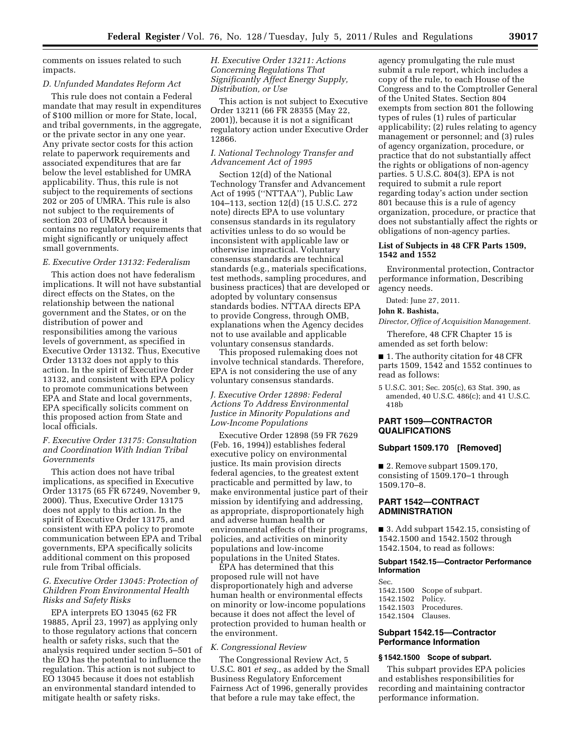comments on issues related to such impacts.

#### *D. Unfunded Mandates Reform Act*

This rule does not contain a Federal mandate that may result in expenditures of \$100 million or more for State, local, and tribal governments, in the aggregate, or the private sector in any one year. Any private sector costs for this action relate to paperwork requirements and associated expenditures that are far below the level established for UMRA applicability. Thus, this rule is not subject to the requirements of sections 202 or 205 of UMRA. This rule is also not subject to the requirements of section 203 of UMRA because it contains no regulatory requirements that might significantly or uniquely affect small governments.

### *E. Executive Order 13132: Federalism*

This action does not have federalism implications. It will not have substantial direct effects on the States, on the relationship between the national government and the States, or on the distribution of power and responsibilities among the various levels of government, as specified in Executive Order 13132. Thus, Executive Order 13132 does not apply to this action. In the spirit of Executive Order 13132, and consistent with EPA policy to promote communications between EPA and State and local governments, EPA specifically solicits comment on this proposed action from State and local officials.

### *F. Executive Order 13175: Consultation and Coordination With Indian Tribal Governments*

This action does not have tribal implications, as specified in Executive Order 13175 (65 FR 67249, November 9, 2000). Thus, Executive Order 13175 does not apply to this action. In the spirit of Executive Order 13175, and consistent with EPA policy to promote communication between EPA and Tribal governments, EPA specifically solicits additional comment on this proposed rule from Tribal officials.

## *G. Executive Order 13045: Protection of Children From Environmental Health Risks and Safety Risks*

EPA interprets EO 13045 (62 FR 19885, April 23, 1997) as applying only to those regulatory actions that concern health or safety risks, such that the analysis required under section 5–501 of the EO has the potential to influence the regulation. This action is not subject to EO 13045 because it does not establish an environmental standard intended to mitigate health or safety risks.

*H. Executive Order 13211: Actions Concerning Regulations That Significantly Affect Energy Supply, Distribution, or Use* 

This action is not subject to Executive Order 13211 (66 FR 28355 (May 22, 2001)), because it is not a significant regulatory action under Executive Order 12866.

## *I. National Technology Transfer and Advancement Act of 1995*

Section 12(d) of the National Technology Transfer and Advancement Act of 1995 (''NTTAA''), Public Law 104–113, section 12(d) (15 U.S.C. 272 note) directs EPA to use voluntary consensus standards in its regulatory activities unless to do so would be inconsistent with applicable law or otherwise impractical. Voluntary consensus standards are technical standards (e.g., materials specifications, test methods, sampling procedures, and business practices) that are developed or adopted by voluntary consensus standards bodies. NTTAA directs EPA to provide Congress, through OMB, explanations when the Agency decides not to use available and applicable voluntary consensus standards.

This proposed rulemaking does not involve technical standards. Therefore, EPA is not considering the use of any voluntary consensus standards.

# *J. Executive Order 12898: Federal Actions To Address Environmental Justice in Minority Populations and Low-Income Populations*

Executive Order 12898 (59 FR 7629 (Feb. 16, 1994)) establishes federal executive policy on environmental justice. Its main provision directs federal agencies, to the greatest extent practicable and permitted by law, to make environmental justice part of their mission by identifying and addressing, as appropriate, disproportionately high and adverse human health or environmental effects of their programs, policies, and activities on minority populations and low-income populations in the United States.

EPA has determined that this proposed rule will not have disproportionately high and adverse human health or environmental effects on minority or low-income populations because it does not affect the level of protection provided to human health or the environment.

#### *K. Congressional Review*

The Congressional Review Act, 5 U.S.C. 801 *et seq.,* as added by the Small Business Regulatory Enforcement Fairness Act of 1996, generally provides that before a rule may take effect, the

agency promulgating the rule must submit a rule report, which includes a copy of the rule, to each House of the Congress and to the Comptroller General of the United States. Section 804 exempts from section 801 the following types of rules (1) rules of particular applicability; (2) rules relating to agency management or personnel; and (3) rules of agency organization, procedure, or practice that do not substantially affect the rights or obligations of non-agency parties. 5 U.S.C. 804(3). EPA is not required to submit a rule report regarding today's action under section 801 because this is a rule of agency organization, procedure, or practice that does not substantially affect the rights or obligations of non-agency parties.

## **List of Subjects in 48 CFR Parts 1509, 1542 and 1552**

Environmental protection, Contractor performance information, Describing agency needs.

Dated: June 27, 2011.

# **John R. Bashista,**

*Director, Office of Acquisition Management.* 

Therefore, 48 CFR Chapter 15 is amended as set forth below:

■ 1. The authority citation for 48 CFR parts 1509, 1542 and 1552 continues to read as follows:

5 U.S.C. 301; Sec. 205(c), 63 Stat. 390, as amended, 40 U.S.C. 486(c); and 41 U.S.C. 418b

# **PART 1509—CONTRACTOR QUALIFICATIONS**

# **Subpart 1509.170 [Removed]**

■ 2. Remove subpart 1509.170, consisting of 1509.170–1 through 1509.170–8.

## **PART 1542—CONTRACT ADMINISTRATION**

■ 3. Add subpart 1542.15, consisting of 1542.1500 and 1542.1502 through 1542.1504, to read as follows:

### **Subpart 1542.15—Contractor Performance Information**

Sec.<br>1542.1500 Scope of subpart.<br>Policy. 1542.1502 1542.1503 Procedures. 1542.1504 Clauses.

## **Subpart 1542.15—Contractor Performance Information**

## **§ 1542.1500 Scope of subpart.**

This subpart provides EPA policies and establishes responsibilities for recording and maintaining contractor performance information.